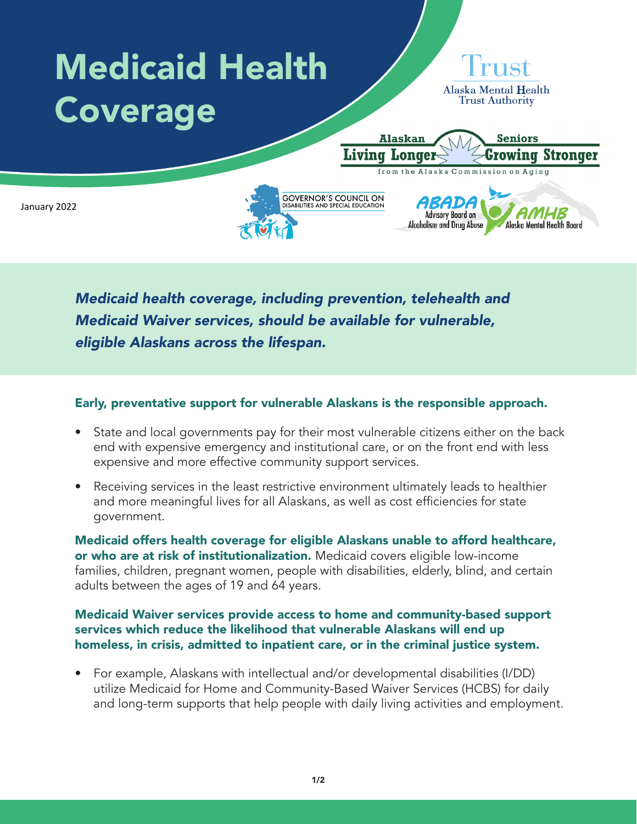

*Medicaid health coverage, including prevention, telehealth and Medicaid Waiver services, should be available for vulnerable, eligible Alaskans across the lifespan.*

## Early, preventative support for vulnerable Alaskans is the responsible approach.

- State and local governments pay for their most vulnerable citizens either on the back end with expensive emergency and institutional care, or on the front end with less expensive and more effective community support services.
- Receiving services in the least restrictive environment ultimately leads to healthier and more meaningful lives for all Alaskans, as well as cost efficiencies for state government.

Medicaid offers health coverage for eligible Alaskans unable to afford healthcare, or who are at risk of institutionalization. Medicaid covers eligible low-income families, children, pregnant women, people with disabilities, elderly, blind, and certain adults between the ages of 19 and 64 years.

## Medicaid Waiver services provide access to home and community-based support services which reduce the likelihood that vulnerable Alaskans will end up homeless, in crisis, admitted to inpatient care, or in the criminal justice system.

• For example, Alaskans with intellectual and/or developmental disabilities (I/DD) utilize Medicaid for Home and Community-Based Waiver Services (HCBS) for daily and long-term supports that help people with daily living activities and employment.